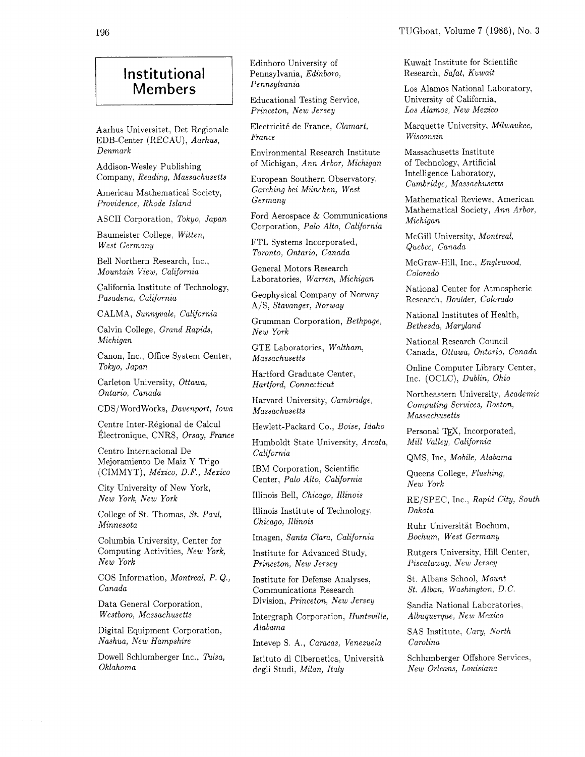## **Institutional Members**

Aarhus Universitet, Det Regionale EDB-Center (RECAU), *Aarhus, Denmark* 

Addison-Wesley Publishing Company, *Reading, Massachusetts* 

American Mathematical Society, *Providence, Rhode Island* 

ASCII Corporation, *Tokyo, Japan* 

Baumeister College, *Witten, West Germany* 

Bell Northern Research, Inc., *Mountain View, California* 

California Institute of Technology, *Pasadena, California* 

CALMA, *Sunnyvale, California* 

Calvin College, *Grand Rapids, Michigan* 

Canon, Inc., Office System Center, *Tokyo, Japan* 

Carleton University, *Ottawa, Ontario, Canada* 

CDS/WordWorks, *Davenport, Iowa* 

Centre Inter-Régional de Calcul  $Électronique, CNRS, *Orsay, France*$ 

Centro Internacional De Mejoramiento De Maiz Y Trigo (CIMMYT), *Me'xico, D.* F., *Mexico* 

City University of New York, *New York, New York* 

College of St. Thomas, *St. Paul, Minnesota* 

Columbia University, Center for Computing Activities, *New York, New York* 

COS Information, *Montreal, P. Q., Canada* 

Data General Corporation, *Westboro, Massachusetts* 

Digital Equipment Corporation, *Nashua, New Hampshire* 

Dowel1 Schlumberger Inc., *Tulsa, Oklahoma* 

Edinboro University of Pennsylvania, *Edinboro, Pennsylvania* 

Educational Testing Service. *Princeton, New Jersey* 

Electricité de France, *Clamart*, *France* 

Environmental Research Institute of Michigan, *Ann Arbor, Michigan* 

European Southern Observatory, *Garching bei Munchen, West Germany* 

Ford Aerospace & Communications Corporation, *Palo Alto, California* 

FTL Systems Incorporated, *Toronto, Ontario, Canada* 

General Motors Research Laboratories, *Warren, Michigan* 

Geophysical Company of Norway A/S, *Stavanger, Norway* 

Grumman Corporation, *Bethpage, New York* 

GTE Laboratories, *Waltham, Massachusetts* 

Hartford Graduate Center, *Hartford, Connecticut* 

Harvard University, *Cambridge, Massachusetts* 

Hewlett-Packard Co., *Boise, Idaho* 

Humboldt State University, *Arcata, California* 

IBM Corporation, Scientific Center, *Palo Alto, California* 

Illinois Bell, *Chicago, Illinois* 

Illinois Institute of Technology, *Chicago, Illinois* 

Imagen, *Santa Clara, California* 

Institute for Advanced Study, *Princeton, New Jersey* 

Institute for Defense Analyses, Communications Research Division, *Princeton, New Jersey* 

Intergraph Corporation, *Huntsville, Alabama* 

Intevep S. A., *Caracas, Venezuela* 

Istituto di Cibernetica, Universith degli Studi, *Milan, Italy* 

Kuwait Institute for Scientific Research, *Safat, Kuwait* 

Los Alamos National Laboratory, University of California, *Los Alamos, New Mexico* 

Marquette University, *Milwaukee, Wisconsin* 

Massachusetts Institute of Technology, Artificial Intelligence Laboratory, *Cambridge, Massachusetts* 

Mathematical Reviews, American Mathematical Society, *Ann Arbor, Michigan* 

McGill University, *Montreal, Quebec, Canada* 

McGraw-Hill, Inc., *Englewood, Colorado* 

National Center for Atmospheric Research, *Boulder, Colorado* 

National Institutes of Health, *Bethesda, Maryland* 

National Research Council Canada, *Ottawa, Ontario, Canada* 

Online Computer Library Center, Inc. (OCLC), *Dublin, Ohio* 

Northeastern University, *Academic Computing Services, Boston, Massachusetts* 

Personal TEX, Incorporated, *Mill Valley, California* 

QMS, Inc, *Mobile, Alabama* 

Queens College, *Flushing, New York* 

REISPEC, Inc., *Rapid City, South Dakota* 

Ruhr Universitat Bochum, *Bochum, West Germany* 

Rutgers University, Hill Center, *Piscataway, New Jersey* 

St. Albans School, *Mount St. Alban, Washington, D. C.* 

Sandia National Laboratories, *Albuquerque, New Mexico* 

SAS Institute, *Cary, North Carolina* 

Schlumberger Offshore Services, *New Orleans, Louisiana*